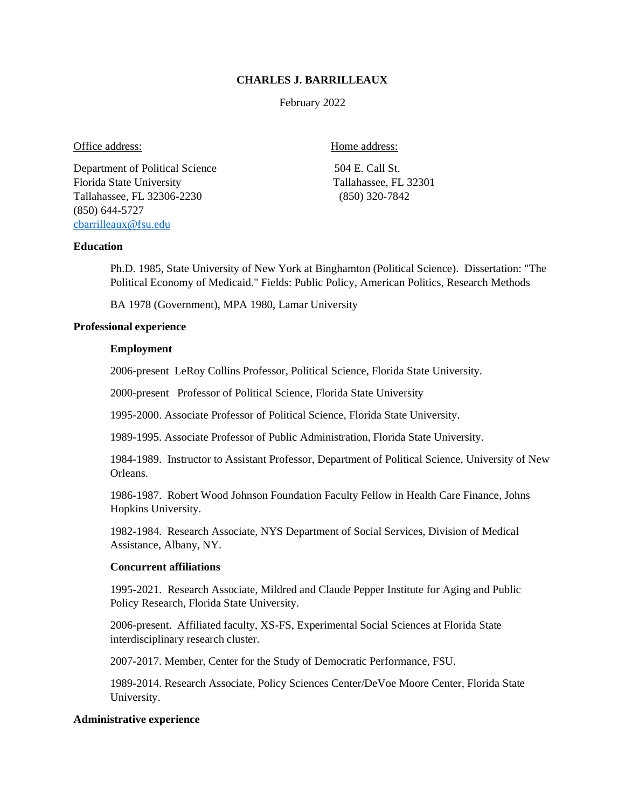## **CHARLES J. BARRILLEAUX**

February 2022

## Office address: Home address:

Department of Political Science 504 E. Call St. Florida State University Tallahassee, FL 32301 Tallahassee, FL 32306-2230 (850) 320-7842 (850) 644-5727 [cbarrilleaux@fsu.edu](mailto:cbarrilleaux@fsu.edu) 

# **Education**

Ph.D. 1985, State University of New York at Binghamton (Political Science). Dissertation: "The Political Economy of Medicaid." Fields: Public Policy, American Politics, Research Methods

BA 1978 (Government), MPA 1980, Lamar University

# **Professional experience**

## **Employment**

2006-present LeRoy Collins Professor, Political Science, Florida State University.

2000-present Professor of Political Science, Florida State University

1995-2000. Associate Professor of Political Science, Florida State University.

1989-1995. Associate Professor of Public Administration, Florida State University.

1984-1989. Instructor to Assistant Professor, Department of Political Science, University of New Orleans.

1986-1987. Robert Wood Johnson Foundation Faculty Fellow in Health Care Finance, Johns Hopkins University.

1982-1984. Research Associate, NYS Department of Social Services, Division of Medical Assistance, Albany, NY.

## **Concurrent affiliations**

1995-2021. Research Associate, Mildred and Claude Pepper Institute for Aging and Public Policy Research, Florida State University.

2006-present. Affiliated faculty, XS-FS, Experimental Social Sciences at Florida State interdisciplinary research cluster.

2007-2017. Member, Center for the Study of Democratic Performance, FSU.

1989-2014. Research Associate, Policy Sciences Center/DeVoe Moore Center, Florida State University.

## **Administrative experience**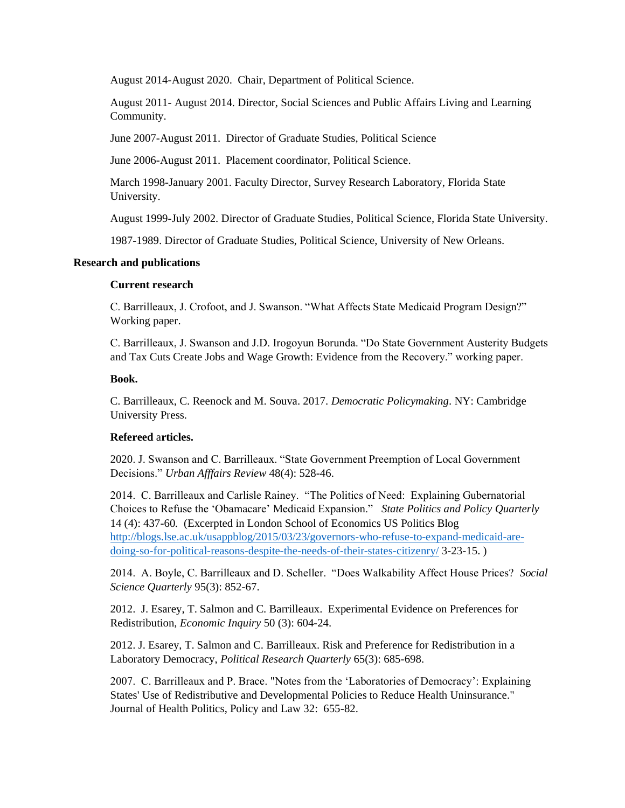August 2014-August 2020. Chair, Department of Political Science.

August 2011- August 2014. Director, Social Sciences and Public Affairs Living and Learning Community.

June 2007-August 2011. Director of Graduate Studies, Political Science

June 2006-August 2011. Placement coordinator, Political Science.

March 1998-January 2001. Faculty Director, Survey Research Laboratory, Florida State University.

August 1999-July 2002. Director of Graduate Studies, Political Science, Florida State University.

1987-1989. Director of Graduate Studies, Political Science, University of New Orleans.

## **Research and publications**

## **Current research**

C. Barrilleaux, J. Crofoot, and J. Swanson. "What Affects State Medicaid Program Design?" Working paper.

C. Barrilleaux, J. Swanson and J.D. Irogoyun Borunda. "Do State Government Austerity Budgets and Tax Cuts Create Jobs and Wage Growth: Evidence from the Recovery." working paper.

## **Book.**

C. Barrilleaux, C. Reenock and M. Souva. 2017. *Democratic Policymaking*. NY: Cambridge University Press.

# **Refereed** a**rticles.**

2020. J. Swanson and C. Barrilleaux. "State Government Preemption of Local Government Decisions." *Urban Afffairs Review* 48(4): 528-46.

2014. C. Barrilleaux and Carlisle Rainey. "The Politics of Need: Explaining Gubernatorial Choices to Refuse the 'Obamacare' Medicaid Expansion." *State Politics and Policy Quarterly*  14 (4): 437-60*.* (Excerpted in London School of Economics US Politics Blog [http://blogs.lse.ac.uk/usappblog/2015/03/23/governors-who-refuse-to-expand-medicaid-are](http://blogs.lse.ac.uk/usappblog/2015/03/23/governors-who-refuse-to-expand-medicaid-are-doing-so-for-political-reasons-despite-the-needs-of-their-states-citizenry/)[doing-so-for-political-reasons-despite-the-needs-of-their-states-citizenry/](http://blogs.lse.ac.uk/usappblog/2015/03/23/governors-who-refuse-to-expand-medicaid-are-doing-so-for-political-reasons-despite-the-needs-of-their-states-citizenry/) 3-23-15. )

2014. A. Boyle, C. Barrilleaux and D. Scheller. "Does Walkability Affect House Prices? *Social Science Quarterly* 95(3): 852-67.

2012. J. Esarey, T. Salmon and C. Barrilleaux. Experimental Evidence on Preferences for Redistribution, *Economic Inquiry* 50 (3): 604-24.

2012. J. Esarey, T. Salmon and C. Barrilleaux. Risk and Preference for Redistribution in a Laboratory Democracy, *Political Research Quarterly* 65(3): 685-698.

2007. C. Barrilleaux and P. Brace. "Notes from the 'Laboratories of Democracy': Explaining States' Use of Redistributive and Developmental Policies to Reduce Health Uninsurance." Journal of Health Politics, Policy and Law 32: 655-82.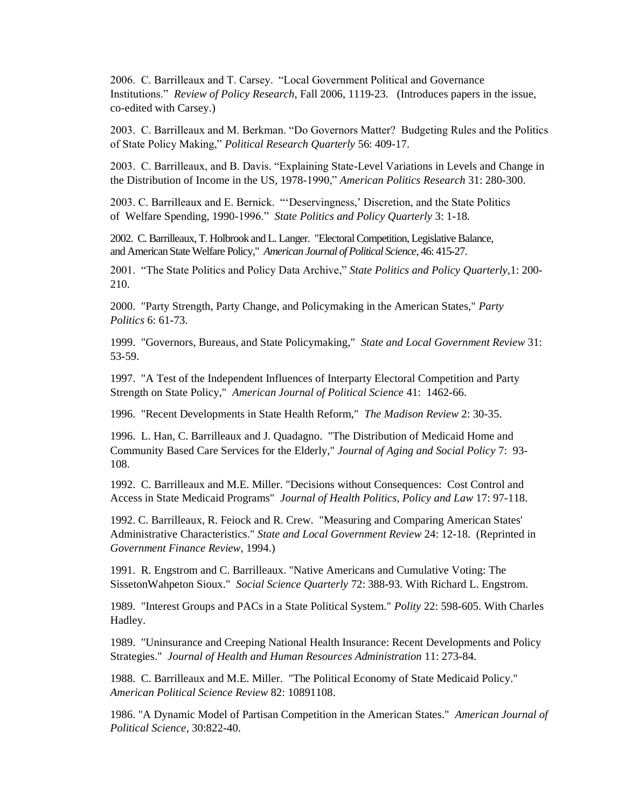2006. C. Barrilleaux and T. Carsey. "Local Government Political and Governance Institutions." *Review of Policy Research*, Fall 2006, 1119-23. (Introduces papers in the issue, co-edited with Carsey.)

2003. C. Barrilleaux and M. Berkman. "Do Governors Matter? Budgeting Rules and the Politics of State Policy Making," *Political Research Quarterly* 56: 409-17.

2003. C. Barrilleaux, and B. Davis. "Explaining State-Level Variations in Levels and Change in the Distribution of Income in the US, 1978-1990," *American Politics Research* 31: 280-300.

2003. C. Barrilleaux and E. Bernick. "'Deservingness,' Discretion, and the State Politics of Welfare Spending, 1990-1996." *State Politics and Policy Quarterly* 3: 1-18*.*

2002. C. Barrilleaux, T. Holbrook and L. Langer. "Electoral Competition, Legislative Balance, and American State Welfare Policy," *American Journal of Political Science*, 46: 415-27.

2001. "The State Politics and Policy Data Archive," *State Politics and Policy Quarterly,*1: 200- 210.

2000. "Party Strength, Party Change, and Policymaking in the American States," *Party Politics* 6: 61-73.

1999. "Governors, Bureaus, and State Policymaking," *State and Local Government Review* 31: 53-59.

1997. "A Test of the Independent Influences of Interparty Electoral Competition and Party Strength on State Policy," *American Journal of Political Science* 41: 1462-66.

1996. "Recent Developments in State Health Reform," *The Madison Review* 2: 30-35.

1996. L. Han, C. Barrilleaux and J. Quadagno. "The Distribution of Medicaid Home and Community Based Care Services for the Elderly," *Journal of Aging and Social Policy* 7: 93- 108.

1992. C. Barrilleaux and M.E. Miller. "Decisions without Consequences: Cost Control and Access in State Medicaid Programs" *Journal of Health Politics, Policy and Law* 17: 97-118.

1992. C. Barrilleaux, R. Feiock and R. Crew. "Measuring and Comparing American States' Administrative Characteristics." *State and Local Government Review* 24: 12-18. (Reprinted in *Government Finance Review*, 1994.)

1991. R. Engstrom and C. Barrilleaux. "Native Americans and Cumulative Voting: The SissetonWahpeton Sioux." *Social Science Quarterly* 72: 388-93. With Richard L. Engstrom.

1989. "Interest Groups and PACs in a State Political System." *Polity* 22: 598-605. With Charles Hadley.

1989. "Uninsurance and Creeping National Health Insurance: Recent Developments and Policy Strategies." *Journal of Health and Human Resources Administration* 11: 273-84.

1988. C. Barrilleaux and M.E. Miller. "The Political Economy of State Medicaid Policy." *American Political Science Review* 82: 10891108.

1986. "A Dynamic Model of Partisan Competition in the American States." *American Journal of Political Science*, 30:822-40.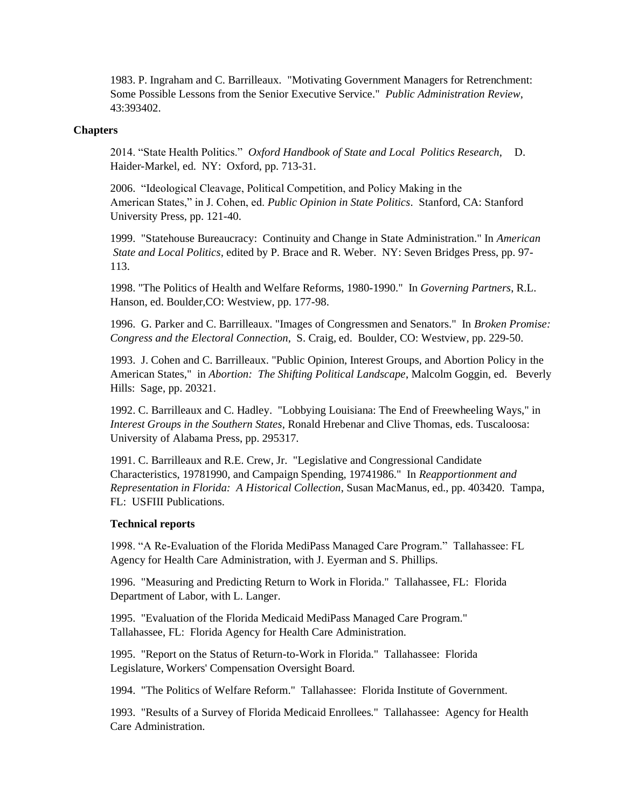1983. P. Ingraham and C. Barrilleaux. "Motivating Government Managers for Retrenchment: Some Possible Lessons from the Senior Executive Service." *Public Administration Review*, 43:393402.

## **Chapters**

2014. "State Health Politics." *Oxford Handbook of State and Local Politics Research*, D. Haider-Markel, ed. NY: Oxford, pp. 713-31.

2006."Ideological Cleavage, Political Competition, and Policy Making in the American States," in J. Cohen, ed. *Public Opinion in State Politics*. Stanford, CA: Stanford University Press, pp. 121-40.

1999. "Statehouse Bureaucracy: Continuity and Change in State Administration." In *American State and Local Politics,* edited by P. Brace and R. Weber. NY: Seven Bridges Press, pp. 97- 113.

1998. "The Politics of Health and Welfare Reforms, 1980-1990." In *Governing Partners*, R.L. Hanson, ed. Boulder,CO: Westview, pp. 177-98.

1996. G. Parker and C. Barrilleaux. "Images of Congressmen and Senators." In *Broken Promise: Congress and the Electoral Connection*, S. Craig, ed. Boulder, CO: Westview, pp. 229-50.

1993. J. Cohen and C. Barrilleaux. "Public Opinion, Interest Groups, and Abortion Policy in the American States," in *Abortion: The Shifting Political Landscape*, Malcolm Goggin, ed. Beverly Hills: Sage, pp. 20321.

1992. C. Barrilleaux and C. Hadley. "Lobbying Louisiana: The End of Freewheeling Ways," in *Interest Groups in the Southern States*, Ronald Hrebenar and Clive Thomas, eds. Tuscaloosa: University of Alabama Press, pp. 295317.

1991. C. Barrilleaux and R.E. Crew, Jr. "Legislative and Congressional Candidate Characteristics, 19781990, and Campaign Spending, 19741986." In *Reapportionment and Representation in Florida: A Historical Collection*, Susan MacManus, ed., pp. 403420. Tampa, FL: USFIII Publications.

#### **Technical reports**

1998. "A Re-Evaluation of the Florida MediPass Managed Care Program." Tallahassee: FL Agency for Health Care Administration, with J. Eyerman and S. Phillips.

1996. "Measuring and Predicting Return to Work in Florida." Tallahassee, FL: Florida Department of Labor, with L. Langer.

1995. "Evaluation of the Florida Medicaid MediPass Managed Care Program." Tallahassee, FL: Florida Agency for Health Care Administration.

1995. "Report on the Status of Return-to-Work in Florida." Tallahassee: Florida Legislature, Workers' Compensation Oversight Board.

1994. "The Politics of Welfare Reform." Tallahassee: Florida Institute of Government.

1993. "Results of a Survey of Florida Medicaid Enrollees." Tallahassee: Agency for Health Care Administration.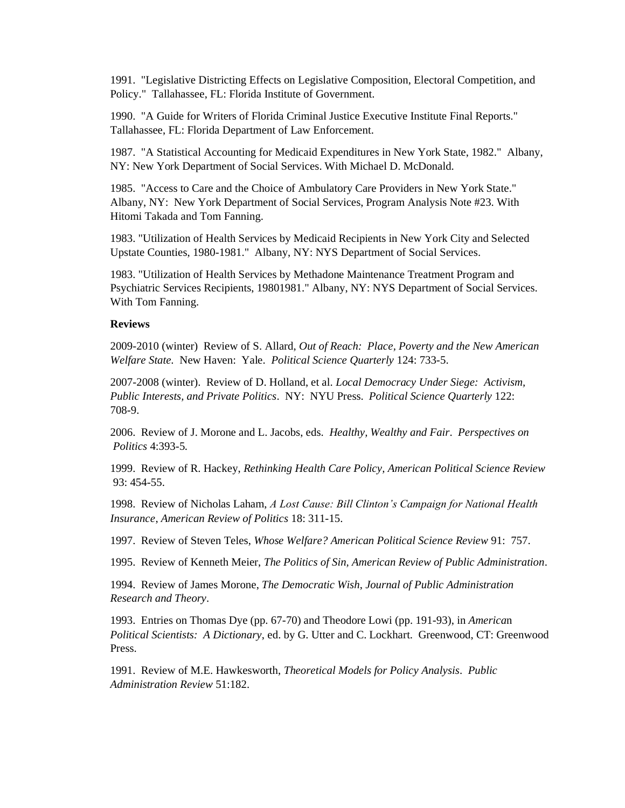1991. "Legislative Districting Effects on Legislative Composition, Electoral Competition, and Policy." Tallahassee, FL: Florida Institute of Government.

1990. "A Guide for Writers of Florida Criminal Justice Executive Institute Final Reports." Tallahassee, FL: Florida Department of Law Enforcement.

1987. "A Statistical Accounting for Medicaid Expenditures in New York State, 1982." Albany, NY: New York Department of Social Services. With Michael D. McDonald.

1985. "Access to Care and the Choice of Ambulatory Care Providers in New York State." Albany, NY: New York Department of Social Services, Program Analysis Note #23. With Hitomi Takada and Tom Fanning.

1983. "Utilization of Health Services by Medicaid Recipients in New York City and Selected Upstate Counties, 1980-1981." Albany, NY: NYS Department of Social Services.

1983. "Utilization of Health Services by Methadone Maintenance Treatment Program and Psychiatric Services Recipients, 19801981." Albany, NY: NYS Department of Social Services. With Tom Fanning.

#### **Reviews**

2009-2010 (winter) Review of S. Allard, *Out of Reach: Place, Poverty and the New American Welfare State.* New Haven: Yale. *Political Science Quarterly* 124: 733-5.

2007-2008 (winter). Review of D. Holland, et al. *Local Democracy Under Siege: Activism, Public Interests, and Private Politics*. NY: NYU Press. *Political Science Quarterly* 122: 708-9.

2006. Review of J. Morone and L. Jacobs, eds. *Healthy, Wealthy and Fair*. *Perspectives on Politics* 4:393-5*.*

1999. Review of R. Hackey, *Rethinking Health Care Policy, American Political Science Review* 93: 454-55.

1998. Review of Nicholas Laham, *A Lost Cause: Bill Clinton's Campaign for National Health Insurance*, *American Review of Politics* 18: 311-15.

1997. Review of Steven Teles, *Whose Welfare? American Political Science Review* 91: 757.

1995. Review of Kenneth Meier, *The Politics of Sin, American Review of Public Administration*.

1994. Review of James Morone, *The Democratic Wish*, *Journal of Public Administration Research and Theory*.

1993. Entries on Thomas Dye (pp. 67-70) and Theodore Lowi (pp. 191-93), in *America*n *Political Scientists: A Dictionary*, ed. by G. Utter and C. Lockhart. Greenwood, CT: Greenwood Press.

1991. Review of M.E. Hawkesworth, *Theoretical Models for Policy Analysis*. *Public Administration Review* 51:182.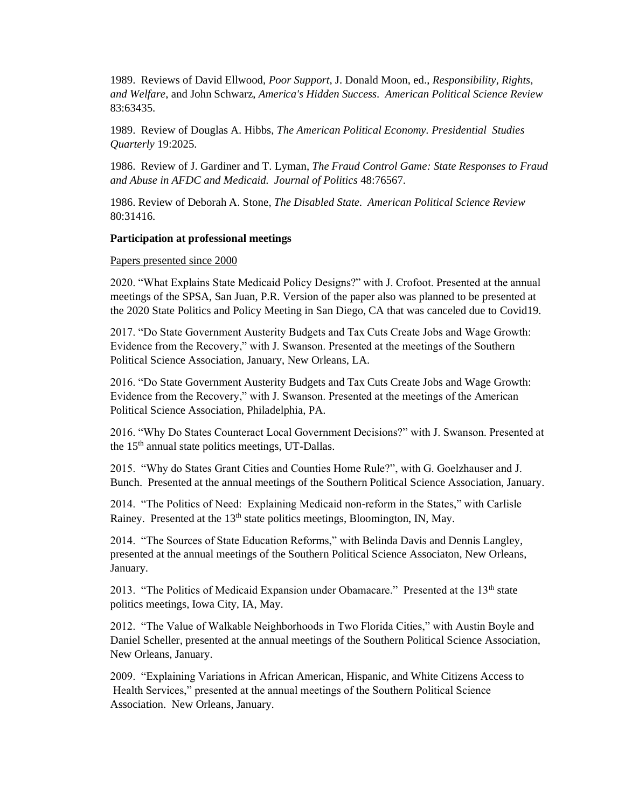1989. Reviews of David Ellwood, *Poor Support*, J. Donald Moon, ed., *Responsibility, Rights, and Welfare*, and John Schwarz, *America's Hidden Success*. *American Political Science Review*  83:63435.

1989. Review of Douglas A. Hibbs, *The American Political Economy. Presidential Studies Quarterly* 19:2025.

1986. Review of J. Gardiner and T. Lyman, *The Fraud Control Game: State Responses to Fraud and Abuse in AFDC and Medicaid. Journal of Politics* 48:76567.

1986. Review of Deborah A. Stone, *The Disabled State. American Political Science Review* 80:31416.

#### **Participation at professional meetings**

#### Papers presented since 2000

2020. "What Explains State Medicaid Policy Designs?" with J. Crofoot. Presented at the annual meetings of the SPSA, San Juan, P.R. Version of the paper also was planned to be presented at the 2020 State Politics and Policy Meeting in San Diego, CA that was canceled due to Covid19.

2017. "Do State Government Austerity Budgets and Tax Cuts Create Jobs and Wage Growth: Evidence from the Recovery," with J. Swanson. Presented at the meetings of the Southern Political Science Association, January, New Orleans, LA.

2016. "Do State Government Austerity Budgets and Tax Cuts Create Jobs and Wage Growth: Evidence from the Recovery," with J. Swanson. Presented at the meetings of the American Political Science Association, Philadelphia, PA.

2016. "Why Do States Counteract Local Government Decisions?" with J. Swanson. Presented at the 15th annual state politics meetings, UT-Dallas.

2015. "Why do States Grant Cities and Counties Home Rule?", with G. Goelzhauser and J. Bunch. Presented at the annual meetings of the Southern Political Science Association, January.

2014. "The Politics of Need: Explaining Medicaid non-reform in the States," with Carlisle Rainey. Presented at the 13<sup>th</sup> state politics meetings, Bloomington, IN, May.

2014. "The Sources of State Education Reforms," with Belinda Davis and Dennis Langley, presented at the annual meetings of the Southern Political Science Associaton, New Orleans, January.

2013. "The Politics of Medicaid Expansion under Obamacare." Presented at the  $13<sup>th</sup>$  state politics meetings, Iowa City, IA, May.

2012. "The Value of Walkable Neighborhoods in Two Florida Cities," with Austin Boyle and Daniel Scheller, presented at the annual meetings of the Southern Political Science Association, New Orleans, January.

2009. "Explaining Variations in African American, Hispanic, and White Citizens Access to Health Services," presented at the annual meetings of the Southern Political Science Association. New Orleans, January.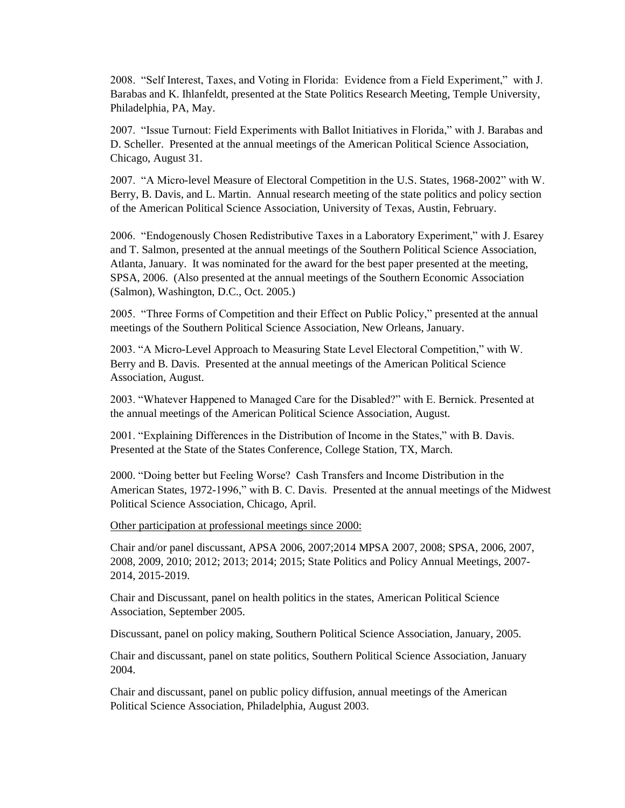2008. "Self Interest, Taxes, and Voting in Florida: Evidence from a Field Experiment," with J. Barabas and K. Ihlanfeldt, presented at the State Politics Research Meeting, Temple University, Philadelphia, PA, May.

2007. "Issue Turnout: Field Experiments with Ballot Initiatives in Florida," with J. Barabas and D. Scheller. Presented at the annual meetings of the American Political Science Association, Chicago, August 31.

2007. "A Micro-level Measure of Electoral Competition in the U.S. States, 1968-2002" with W. Berry, B. Davis, and L. Martin. Annual research meeting of the state politics and policy section of the American Political Science Association, University of Texas, Austin, February.

2006. "Endogenously Chosen Redistributive Taxes in a Laboratory Experiment," with J. Esarey and T. Salmon, presented at the annual meetings of the Southern Political Science Association, Atlanta, January. It was nominated for the award for the best paper presented at the meeting, SPSA, 2006. (Also presented at the annual meetings of the Southern Economic Association (Salmon), Washington, D.C., Oct. 2005.)

2005. "Three Forms of Competition and their Effect on Public Policy," presented at the annual meetings of the Southern Political Science Association, New Orleans, January.

2003. "A Micro-Level Approach to Measuring State Level Electoral Competition," with W. Berry and B. Davis. Presented at the annual meetings of the American Political Science Association, August.

2003. "Whatever Happened to Managed Care for the Disabled?" with E. Bernick. Presented at the annual meetings of the American Political Science Association, August.

2001. "Explaining Differences in the Distribution of Income in the States," with B. Davis. Presented at the State of the States Conference, College Station, TX, March.

2000. "Doing better but Feeling Worse? Cash Transfers and Income Distribution in the American States, 1972-1996," with B. C. Davis. Presented at the annual meetings of the Midwest Political Science Association, Chicago, April.

Other participation at professional meetings since 2000:

Chair and/or panel discussant, APSA 2006, 2007;2014 MPSA 2007, 2008; SPSA, 2006, 2007, 2008, 2009, 2010; 2012; 2013; 2014; 2015; State Politics and Policy Annual Meetings, 2007- 2014, 2015-2019.

Chair and Discussant, panel on health politics in the states, American Political Science Association, September 2005.

Discussant, panel on policy making, Southern Political Science Association, January, 2005.

Chair and discussant, panel on state politics, Southern Political Science Association, January 2004.

Chair and discussant, panel on public policy diffusion, annual meetings of the American Political Science Association, Philadelphia, August 2003.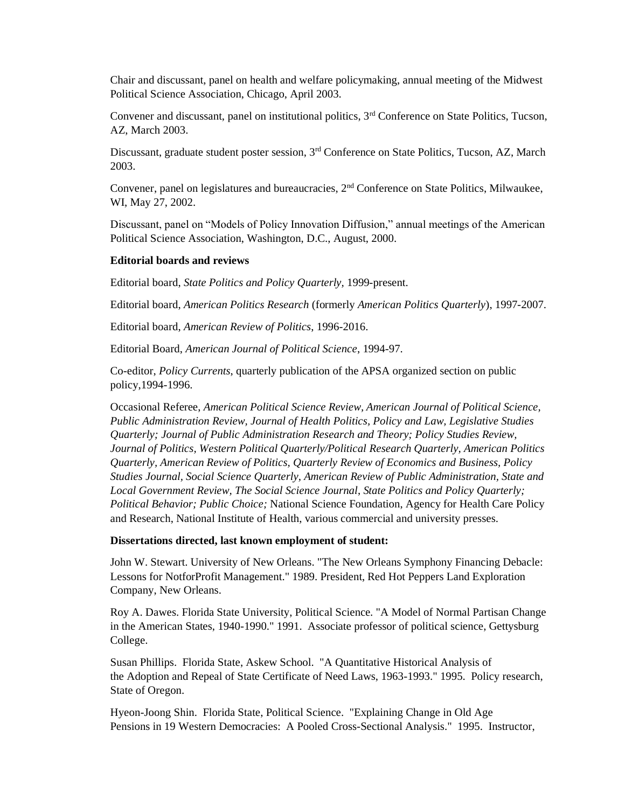Chair and discussant, panel on health and welfare policymaking, annual meeting of the Midwest Political Science Association, Chicago, April 2003.

Convener and discussant, panel on institutional politics, 3<sup>rd</sup> Conference on State Politics, Tucson, AZ, March 2003.

Discussant, graduate student poster session, 3<sup>rd</sup> Conference on State Politics, Tucson, AZ, March 2003.

Convener, panel on legislatures and bureaucracies, 2<sup>nd</sup> Conference on State Politics, Milwaukee, WI, May 27, 2002.

Discussant, panel on "Models of Policy Innovation Diffusion," annual meetings of the American Political Science Association, Washington, D.C., August, 2000.

#### **Editorial boards and reviews**

Editorial board, *State Politics and Policy Quarterly,* 1999-present.

Editorial board, *American Politics Research* (formerly *American Politics Quarterly*), 1997-2007.

Editorial board, *American Review of Politics*, 1996-2016.

Editorial Board, *American Journal of Political Science*, 1994-97.

Co-editor, *Policy Currents*, quarterly publication of the APSA organized section on public policy,1994-1996.

Occasional Referee, *American Political Science Review, American Journal of Political Science, Public Administration Review, Journal of Health Politics, Policy and Law, Legislative Studies Quarterly; Journal of Public Administration Research and Theory; Policy Studies Review, Journal of Politics, Western Political Quarterly/Political Research Quarterly, American Politics Quarterly, American Review of Politics, Quarterly Review of Economics and Business, Policy Studies Journal, Social Science Quarterly, American Review of Public Administration, State and Local Government Review, The Social Science Journal*, *State Politics and Policy Quarterly; Political Behavior; Public Choice;* National Science Foundation, Agency for Health Care Policy and Research, National Institute of Health, various commercial and university presses.

#### **Dissertations directed, last known employment of student:**

 John W. Stewart. University of New Orleans. "The New Orleans Symphony Financing Debacle: Lessons for NotforProfit Management." 1989. President, Red Hot Peppers Land Exploration Company, New Orleans.

Roy A. Dawes. Florida State University, Political Science. "A Model of Normal Partisan Change in the American States, 1940-1990." 1991. Associate professor of political science, Gettysburg College.

Susan Phillips. Florida State, Askew School. "A Quantitative Historical Analysis of the Adoption and Repeal of State Certificate of Need Laws, 1963-1993." 1995. Policy research, State of Oregon.

Hyeon-Joong Shin. Florida State, Political Science. "Explaining Change in Old Age Pensions in 19 Western Democracies: A Pooled Cross-Sectional Analysis." 1995.Instructor,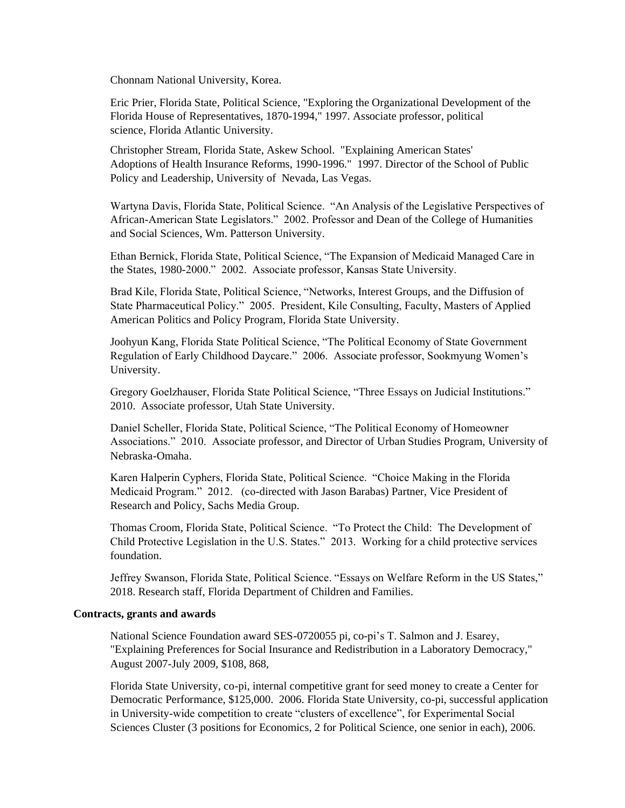Chonnam National University, Korea.

Eric Prier, Florida State, Political Science, "Exploring the Organizational Development of the Florida House of Representatives, 1870-1994," 1997. Associate professor, political science, Florida Atlantic University.

Christopher Stream, Florida State, Askew School. "Explaining American States' Adoptions of Health Insurance Reforms, 1990-1996." 1997. Director of the School of Public Policy and Leadership, University of Nevada, Las Vegas.

Wartyna Davis, Florida State, Political Science. "An Analysis of the Legislative Perspectives of African-American State Legislators." 2002. Professor and Dean of the College of Humanities and Social Sciences, Wm. Patterson University.

Ethan Bernick, Florida State, Political Science, "The Expansion of Medicaid Managed Care in the States, 1980-2000." 2002. Associate professor, Kansas State University.

Brad Kile, Florida State, Political Science, "Networks, Interest Groups, and the Diffusion of State Pharmaceutical Policy." 2005. President, Kile Consulting, Faculty, Masters of Applied American Politics and Policy Program, Florida State University.

Joohyun Kang, Florida State Political Science, "The Political Economy of State Government Regulation of Early Childhood Daycare." 2006. Associate professor, Sookmyung Women's University.

Gregory Goelzhauser, Florida State Political Science, "Three Essays on Judicial Institutions." 2010. Associate professor, Utah State University.

Daniel Scheller, Florida State, Political Science, "The Political Economy of Homeowner Associations." 2010. Associate professor, and Director of Urban Studies Program, University of Nebraska-Omaha.

Karen Halperin Cyphers, Florida State, Political Science. "Choice Making in the Florida Medicaid Program." 2012. (co-directed with Jason Barabas) Partner, Vice President of Research and Policy, Sachs Media Group.

Thomas Croom, Florida State, Political Science. "To Protect the Child: The Development of Child Protective Legislation in the U.S. States." 2013. Working for a child protective services foundation.

Jeffrey Swanson, Florida State, Political Science. "Essays on Welfare Reform in the US States," 2018. Research staff, Florida Department of Children and Families.

## **Contracts, grants and awards**

National Science Foundation award SES-0720055 pi, co-pi's T. Salmon and J. Esarey, "Explaining Preferences for Social Insurance and Redistribution in a Laboratory Democracy," August 2007-July 2009, \$108, 868,

Florida State University, co-pi, internal competitive grant for seed money to create a Center for Democratic Performance, \$125,000. 2006. Florida State University, co-pi, successful application in University-wide competition to create "clusters of excellence", for Experimental Social Sciences Cluster (3 positions for Economics, 2 for Political Science, one senior in each), 2006.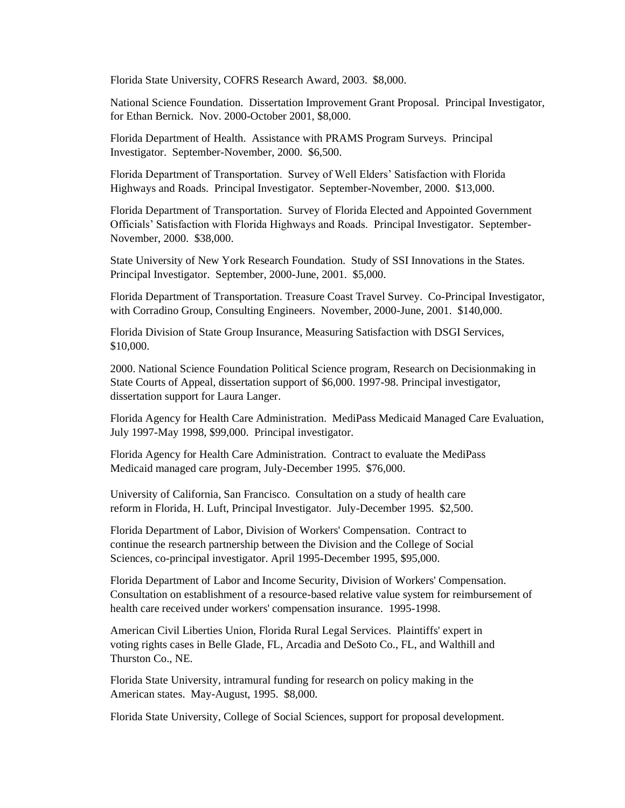Florida State University, COFRS Research Award, 2003. \$8,000.

National Science Foundation. Dissertation Improvement Grant Proposal. Principal Investigator, for Ethan Bernick. Nov. 2000-October 2001, \$8,000.

Florida Department of Health. Assistance with PRAMS Program Surveys. Principal Investigator. September-November, 2000. \$6,500.

Florida Department of Transportation. Survey of Well Elders' Satisfaction with Florida Highways and Roads. Principal Investigator. September-November, 2000. \$13,000.

Florida Department of Transportation. Survey of Florida Elected and Appointed Government Officials' Satisfaction with Florida Highways and Roads. Principal Investigator. September-November, 2000. \$38,000.

State University of New York Research Foundation. Study of SSI Innovations in the States. Principal Investigator. September, 2000-June, 2001. \$5,000.

Florida Department of Transportation. Treasure Coast Travel Survey. Co-Principal Investigator, with Corradino Group, Consulting Engineers. November, 2000-June, 2001. \$140,000.

Florida Division of State Group Insurance, Measuring Satisfaction with DSGI Services, \$10,000.

2000. National Science Foundation Political Science program, Research on Decisionmaking in State Courts of Appeal, dissertation support of \$6,000. 1997-98. Principal investigator, dissertation support for Laura Langer.

Florida Agency for Health Care Administration. MediPass Medicaid Managed Care Evaluation, July 1997-May 1998, \$99,000. Principal investigator.

Florida Agency for Health Care Administration. Contract to evaluate the MediPass Medicaid managed care program, July-December 1995. \$76,000.

University of California, San Francisco. Consultation on a study of health care reform in Florida, H. Luft, Principal Investigator. July-December 1995. \$2,500.

Florida Department of Labor, Division of Workers' Compensation. Contract to continue the research partnership between the Division and the College of Social Sciences, co-principal investigator. April 1995-December 1995, \$95,000.

Florida Department of Labor and Income Security, Division of Workers' Compensation. Consultation on establishment of a resource-based relative value system for reimbursement of health care received under workers' compensation insurance. 1995-1998.

American Civil Liberties Union, Florida Rural Legal Services. Plaintiffs' expert in voting rights cases in Belle Glade, FL, Arcadia and DeSoto Co., FL, and Walthill and Thurston Co., NE.

Florida State University, intramural funding for research on policy making in the American states. May-August, 1995. \$8,000.

Florida State University, College of Social Sciences, support for proposal development.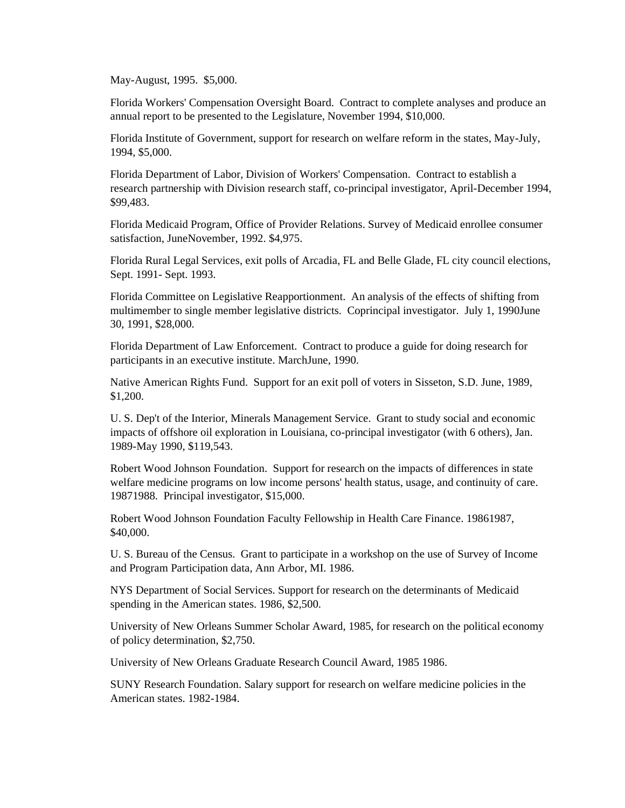May-August, 1995. \$5,000.

Florida Workers' Compensation Oversight Board. Contract to complete analyses and produce an annual report to be presented to the Legislature, November 1994, \$10,000.

Florida Institute of Government, support for research on welfare reform in the states, May-July, 1994, \$5,000.

Florida Department of Labor, Division of Workers' Compensation. Contract to establish a research partnership with Division research staff, co-principal investigator, April-December 1994, \$99,483.

Florida Medicaid Program, Office of Provider Relations. Survey of Medicaid enrollee consumer satisfaction, JuneNovember, 1992. \$4,975.

Florida Rural Legal Services, exit polls of Arcadia, FL and Belle Glade, FL city council elections, Sept. 1991- Sept. 1993.

Florida Committee on Legislative Reapportionment. An analysis of the effects of shifting from multimember to single member legislative districts. Coprincipal investigator. July 1, 1990June 30, 1991, \$28,000.

Florida Department of Law Enforcement. Contract to produce a guide for doing research for participants in an executive institute. MarchJune, 1990.

Native American Rights Fund. Support for an exit poll of voters in Sisseton, S.D. June, 1989, \$1,200.

U. S. Dep't of the Interior, Minerals Management Service. Grant to study social and economic impacts of offshore oil exploration in Louisiana, co-principal investigator (with 6 others), Jan. 1989-May 1990, \$119,543.

Robert Wood Johnson Foundation. Support for research on the impacts of differences in state welfare medicine programs on low income persons' health status, usage, and continuity of care. 19871988. Principal investigator, \$15,000.

Robert Wood Johnson Foundation Faculty Fellowship in Health Care Finance. 19861987, \$40,000.

U. S. Bureau of the Census. Grant to participate in a workshop on the use of Survey of Income and Program Participation data, Ann Arbor, MI. 1986.

NYS Department of Social Services. Support for research on the determinants of Medicaid spending in the American states. 1986, \$2,500.

University of New Orleans Summer Scholar Award, 1985, for research on the political economy of policy determination, \$2,750.

University of New Orleans Graduate Research Council Award, 1985 1986.

SUNY Research Foundation. Salary support for research on welfare medicine policies in the American states. 1982-1984.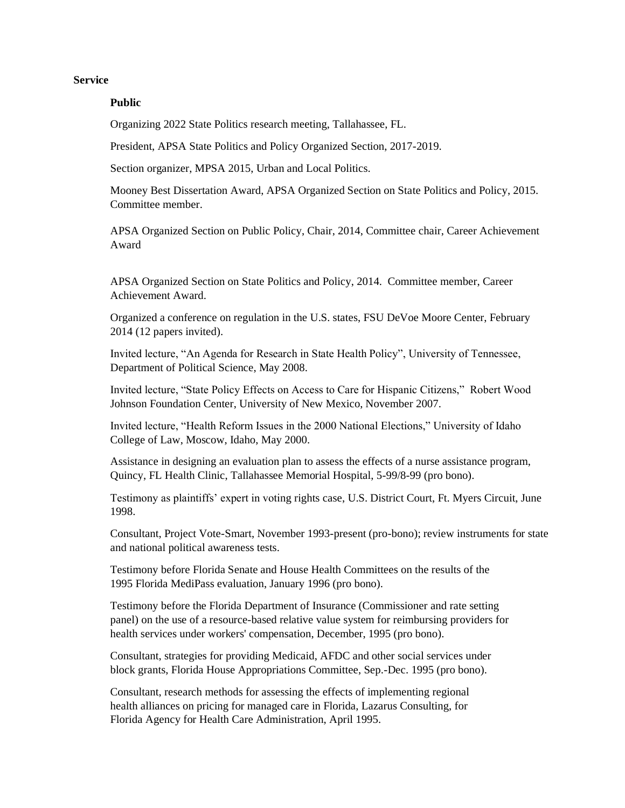#### **Service**

#### **Public**

Organizing 2022 State Politics research meeting, Tallahassee, FL.

President, APSA State Politics and Policy Organized Section, 2017-2019.

Section organizer, MPSA 2015, Urban and Local Politics.

Mooney Best Dissertation Award, APSA Organized Section on State Politics and Policy, 2015. Committee member.

APSA Organized Section on Public Policy, Chair, 2014, Committee chair, Career Achievement Award

APSA Organized Section on State Politics and Policy, 2014. Committee member, Career Achievement Award.

Organized a conference on regulation in the U.S. states, FSU DeVoe Moore Center, February 2014 (12 papers invited).

Invited lecture, "An Agenda for Research in State Health Policy", University of Tennessee, Department of Political Science, May 2008.

Invited lecture, "State Policy Effects on Access to Care for Hispanic Citizens," Robert Wood Johnson Foundation Center, University of New Mexico, November 2007.

Invited lecture, "Health Reform Issues in the 2000 National Elections," University of Idaho College of Law, Moscow, Idaho, May 2000.

Assistance in designing an evaluation plan to assess the effects of a nurse assistance program, Quincy, FL Health Clinic, Tallahassee Memorial Hospital, 5-99/8-99 (pro bono).

Testimony as plaintiffs' expert in voting rights case, U.S. District Court, Ft. Myers Circuit, June 1998.

Consultant, Project Vote-Smart, November 1993-present (pro-bono); review instruments for state and national political awareness tests.

Testimony before Florida Senate and House Health Committees on the results of the 1995 Florida MediPass evaluation, January 1996 (pro bono).

Testimony before the Florida Department of Insurance (Commissioner and rate setting panel) on the use of a resource-based relative value system for reimbursing providers for health services under workers' compensation, December, 1995 (pro bono).

Consultant, strategies for providing Medicaid, AFDC and other social services under block grants, Florida House Appropriations Committee, Sep.-Dec. 1995 (pro bono).

Consultant, research methods for assessing the effects of implementing regional health alliances on pricing for managed care in Florida, Lazarus Consulting, for Florida Agency for Health Care Administration, April 1995.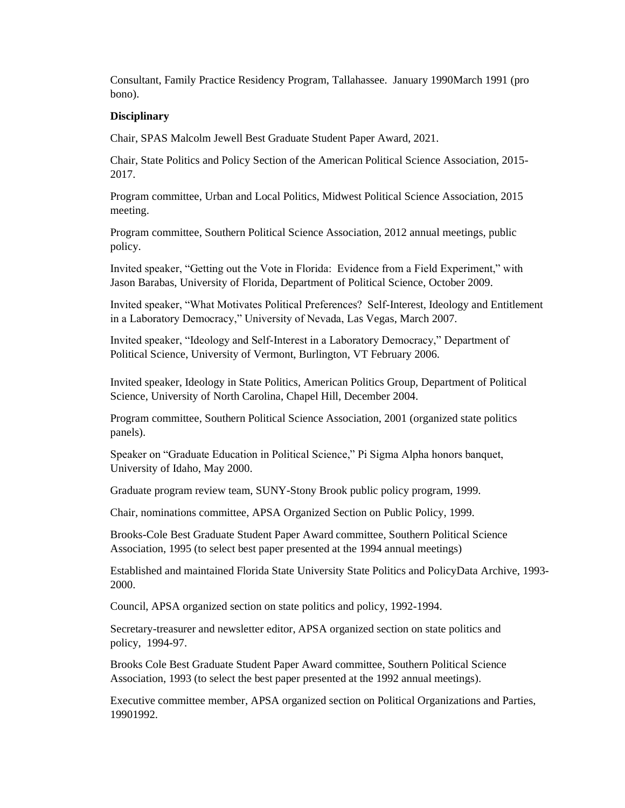Consultant, Family Practice Residency Program, Tallahassee. January 1990March 1991 (pro bono).

## **Disciplinary**

Chair, SPAS Malcolm Jewell Best Graduate Student Paper Award, 2021.

Chair, State Politics and Policy Section of the American Political Science Association, 2015- 2017.

Program committee, Urban and Local Politics, Midwest Political Science Association, 2015 meeting.

Program committee, Southern Political Science Association, 2012 annual meetings, public policy.

Invited speaker, "Getting out the Vote in Florida: Evidence from a Field Experiment," with Jason Barabas, University of Florida, Department of Political Science, October 2009.

Invited speaker, "What Motivates Political Preferences? Self-Interest, Ideology and Entitlement in a Laboratory Democracy," University of Nevada, Las Vegas, March 2007.

Invited speaker, "Ideology and Self-Interest in a Laboratory Democracy," Department of Political Science, University of Vermont, Burlington, VT February 2006.

Invited speaker, Ideology in State Politics, American Politics Group, Department of Political Science, University of North Carolina, Chapel Hill, December 2004.

Program committee, Southern Political Science Association, 2001 (organized state politics panels).

Speaker on "Graduate Education in Political Science," Pi Sigma Alpha honors banquet, University of Idaho, May 2000.

Graduate program review team, SUNY-Stony Brook public policy program, 1999.

Chair, nominations committee, APSA Organized Section on Public Policy, 1999.

Brooks-Cole Best Graduate Student Paper Award committee, Southern Political Science Association, 1995 (to select best paper presented at the 1994 annual meetings)

Established and maintained Florida State University State Politics and PolicyData Archive, 1993- 2000.

Council, APSA organized section on state politics and policy, 1992-1994.

Secretary-treasurer and newsletter editor, APSA organized section on state politics and policy, 1994-97.

Brooks Cole Best Graduate Student Paper Award committee, Southern Political Science Association, 1993 (to select the best paper presented at the 1992 annual meetings).

Executive committee member, APSA organized section on Political Organizations and Parties, 19901992.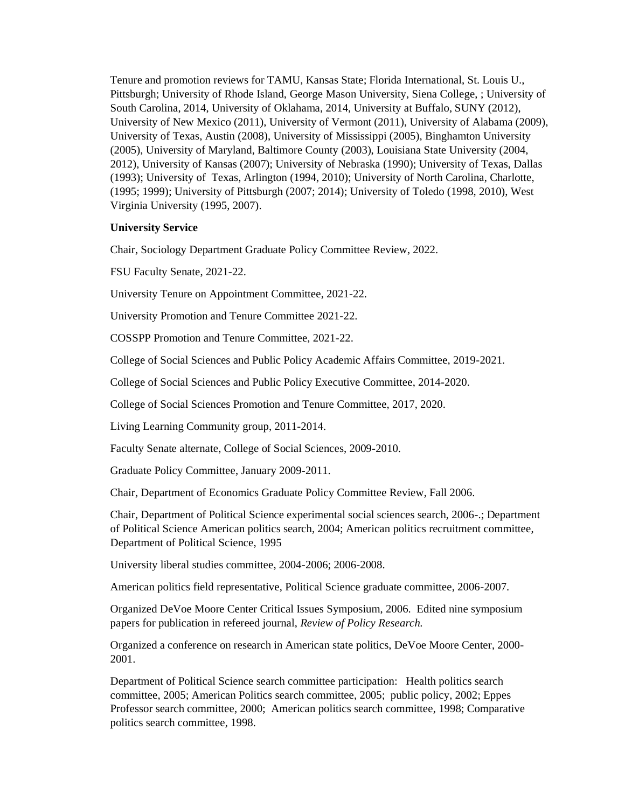Tenure and promotion reviews for TAMU, Kansas State; Florida International, St. Louis U., Pittsburgh; University of Rhode Island, George Mason University, Siena College, ; University of South Carolina, 2014, University of Oklahama, 2014, University at Buffalo, SUNY (2012), University of New Mexico (2011), University of Vermont (2011), University of Alabama (2009), University of Texas, Austin (2008), University of Mississippi (2005), Binghamton University (2005), University of Maryland, Baltimore County (2003), Louisiana State University (2004, 2012), University of Kansas (2007); University of Nebraska (1990); University of Texas, Dallas (1993); University of Texas, Arlington (1994, 2010); University of North Carolina, Charlotte, (1995; 1999); University of Pittsburgh (2007; 2014); University of Toledo (1998, 2010), West Virginia University (1995, 2007).

## **University Service**

Chair, Sociology Department Graduate Policy Committee Review, 2022.

FSU Faculty Senate, 2021-22.

University Tenure on Appointment Committee, 2021-22.

University Promotion and Tenure Committee 2021-22.

COSSPP Promotion and Tenure Committee, 2021-22.

College of Social Sciences and Public Policy Academic Affairs Committee, 2019-2021.

College of Social Sciences and Public Policy Executive Committee, 2014-2020.

College of Social Sciences Promotion and Tenure Committee, 2017, 2020.

Living Learning Community group, 2011-2014.

Faculty Senate alternate, College of Social Sciences, 2009-2010.

Graduate Policy Committee, January 2009-2011.

Chair, Department of Economics Graduate Policy Committee Review, Fall 2006.

Chair, Department of Political Science experimental social sciences search, 2006-.; Department of Political Science American politics search, 2004; American politics recruitment committee, Department of Political Science, 1995

University liberal studies committee, 2004-2006; 2006-2008.

American politics field representative, Political Science graduate committee, 2006-2007.

Organized DeVoe Moore Center Critical Issues Symposium, 2006. Edited nine symposium papers for publication in refereed journal, *Review of Policy Research.*

Organized a conference on research in American state politics, DeVoe Moore Center, 2000- 2001.

Department of Political Science search committee participation: Health politics search committee, 2005; American Politics search committee, 2005; public policy, 2002; Eppes Professor search committee, 2000; American politics search committee, 1998; Comparative politics search committee, 1998.